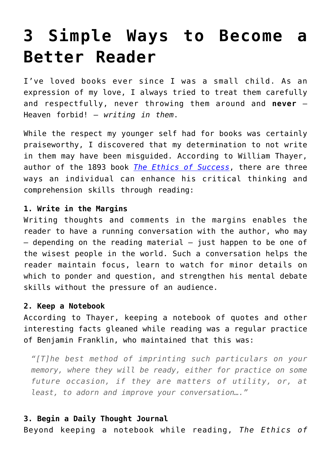## **[3 Simple Ways to Become a](https://intellectualtakeout.org/2015/07/3-simple-ways-to-become-a-better-reader/) [Better Reader](https://intellectualtakeout.org/2015/07/3-simple-ways-to-become-a-better-reader/)**

I've loved books ever since I was a small child. As an expression of my love, I always tried to treat them carefully and respectfully, never throwing them around and **never** – Heaven forbid! – *writing in them*.

While the respect my younger self had for books was certainly praiseworthy, I discovered that my determination to not write in them may have been misguided. According to William Thayer, author of the 1893 book *[The Ethics of Success](https://archive.org/stream/ethicssuccess01thaygoog#page/n208/mode/2up)*, there are three ways an individual can enhance his critical thinking and comprehension skills through reading:

## **1. Write in the Margins**

Writing thoughts and comments in the margins enables the reader to have a running conversation with the author, who may  $-$  depending on the reading material  $-$  just happen to be one of the wisest people in the world. Such a conversation helps the reader maintain focus, learn to watch for minor details on which to ponder and question, and strengthen his mental debate skills without the pressure of an audience.

## **2. Keep a Notebook**

According to Thayer, keeping a notebook of quotes and other interesting facts gleaned while reading was a regular practice of Benjamin Franklin, who maintained that this was:

*"[T]he best method of imprinting such particulars on your memory, where they will be ready, either for practice on some future occasion, if they are matters of utility, or, at least, to adorn and improve your conversation…."*

## **3. Begin a Daily Thought Journal**

Beyond keeping a notebook while reading, *The Ethics of*